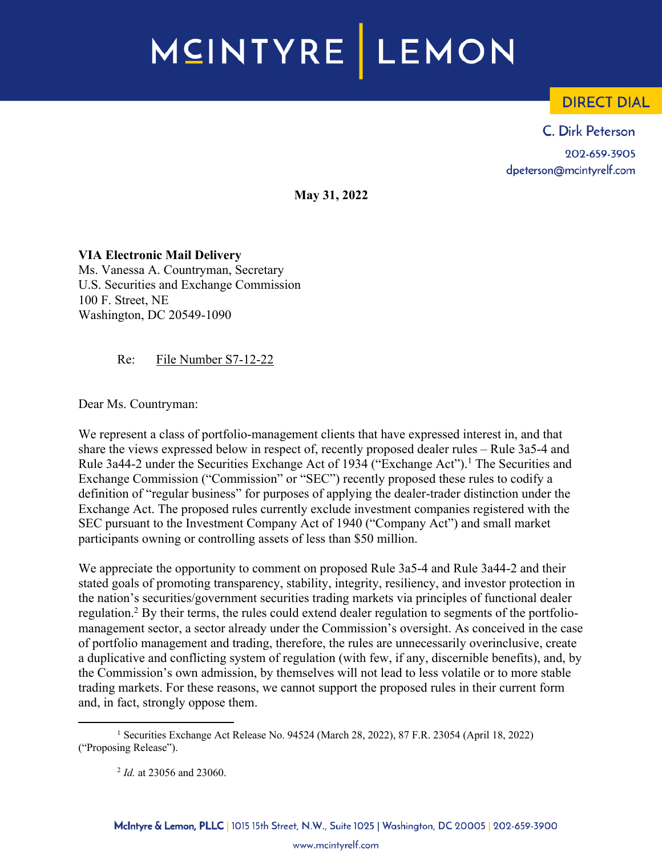# MCINTYRE LEMON

# **DIRECT DIAL**

C. Dirk Peterson 202-659-3905 dpeterson@mcintyrelf.com

**May 31, 2022**

**VIA Electronic Mail Delivery** Ms. Vanessa A. Countryman, Secretary U.S. Securities and Exchange Commission 100 F. Street, NE Washington, DC 20549-1090

Re: File Number S7-12-22

Dear Ms. Countryman:

We represent a class of portfolio-management clients that have expressed interest in, and that share the views expressed below in respect of, recently proposed dealer rules – Rule 3a5-4 and Rule 3a44-2 under the Securities Exchange Act of 1934 ("Exchange Act").<sup>1</sup> The Securities and Exchange Commission ("Commission" or "SEC") recently proposed these rules to codify a definition of "regular business" for purposes of applying the dealer-trader distinction under the Exchange Act. The proposed rules currently exclude investment companies registered with the SEC pursuant to the Investment Company Act of 1940 ("Company Act") and small market participants owning or controlling assets of less than \$50 million.

We appreciate the opportunity to comment on proposed Rule 3a5-4 and Rule 3a44-2 and their stated goals of promoting transparency, stability, integrity, resiliency, and investor protection in the nation's securities/government securities trading markets via principles of functional dealer regulation.2 By their terms, the rules could extend dealer regulation to segments of the portfoliomanagement sector, a sector already under the Commission's oversight. As conceived in the case of portfolio management and trading, therefore, the rules are unnecessarily overinclusive, create a duplicative and conflicting system of regulation (with few, if any, discernible benefits), and, by the Commission's own admission, by themselves will not lead to less volatile or to more stable trading markets. For these reasons, we cannot support the proposed rules in their current form and, in fact, strongly oppose them.

<sup>1</sup> Securities Exchange Act Release No. 94524 (March 28, 2022), 87 F.R. 23054 (April 18, 2022) ("Proposing Release").

<sup>2</sup> *Id.* at 23056 and 23060.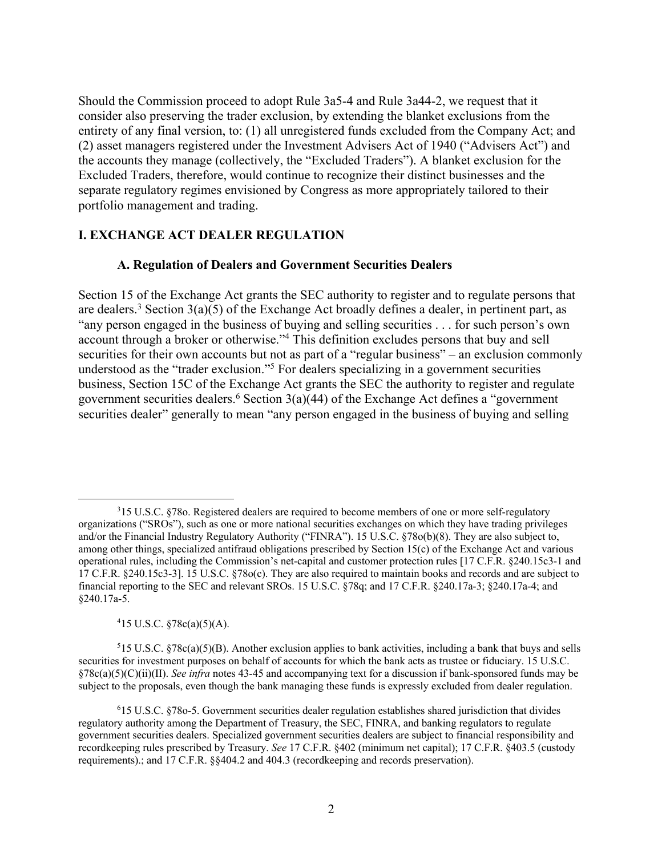Should the Commission proceed to adopt Rule 3a5-4 and Rule 3a44-2, we request that it consider also preserving the trader exclusion, by extending the blanket exclusions from the entirety of any final version, to: (1) all unregistered funds excluded from the Company Act; and (2) asset managers registered under the Investment Advisers Act of 1940 ("Advisers Act") and the accounts they manage (collectively, the "Excluded Traders"). A blanket exclusion for the Excluded Traders, therefore, would continue to recognize their distinct businesses and the separate regulatory regimes envisioned by Congress as more appropriately tailored to their portfolio management and trading.

## **I. EXCHANGE ACT DEALER REGULATION**

#### **A. Regulation of Dealers and Government Securities Dealers**

Section 15 of the Exchange Act grants the SEC authority to register and to regulate persons that are dealers.<sup>3</sup> Section  $3(a)(5)$  of the Exchange Act broadly defines a dealer, in pertinent part, as "any person engaged in the business of buying and selling securities . . . for such person's own account through a broker or otherwise."4 This definition excludes persons that buy and sell securities for their own accounts but not as part of a "regular business" – an exclusion commonly understood as the "trader exclusion."5 For dealers specializing in a government securities business, Section 15C of the Exchange Act grants the SEC the authority to register and regulate government securities dealers.<sup>6</sup> Section  $3(a)(44)$  of the Exchange Act defines a "government" securities dealer" generally to mean "any person engaged in the business of buying and selling

 $415$  U.S.C.  $$78c(a)(5)(A)$ .

 $515$  U.S.C.  $\sqrt[5]{8c(a)(5)(B)}$ . Another exclusion applies to bank activities, including a bank that buys and sells securities for investment purposes on behalf of accounts for which the bank acts as trustee or fiduciary. 15 U.S.C. §78c(a)(5)(C)(ii)(II). *See infra* notes 43-45 and accompanying text for a discussion if bank-sponsored funds may be subject to the proposals, even though the bank managing these funds is expressly excluded from dealer regulation.

<sup>&</sup>lt;sup>3</sup>15 U.S.C. §78o. Registered dealers are required to become members of one or more self-regulatory organizations ("SROs"), such as one or more national securities exchanges on which they have trading privileges and/or the Financial Industry Regulatory Authority ("FINRA"). 15 U.S.C. §78o(b)(8). They are also subject to, among other things, specialized antifraud obligations prescribed by Section 15(c) of the Exchange Act and various operational rules, including the Commission's net-capital and customer protection rules [17 C.F.R. §240.15c3-1 and 17 C.F.R. §240.15c3-3]. 15 U.S.C. §78o(c). They are also required to maintain books and records and are subject to financial reporting to the SEC and relevant SROs. 15 U.S.C. §78q; and 17 C.F.R. §240.17a-3; §240.17a-4; and §240.17a-5.

<sup>6</sup> 15 U.S.C. §78o-5. Government securities dealer regulation establishes shared jurisdiction that divides regulatory authority among the Department of Treasury, the SEC, FINRA, and banking regulators to regulate government securities dealers. Specialized government securities dealers are subject to financial responsibility and recordkeeping rules prescribed by Treasury. *See* 17 C.F.R. §402 (minimum net capital); 17 C.F.R. §403.5 (custody requirements).; and 17 C.F.R. §§404.2 and 404.3 (recordkeeping and records preservation).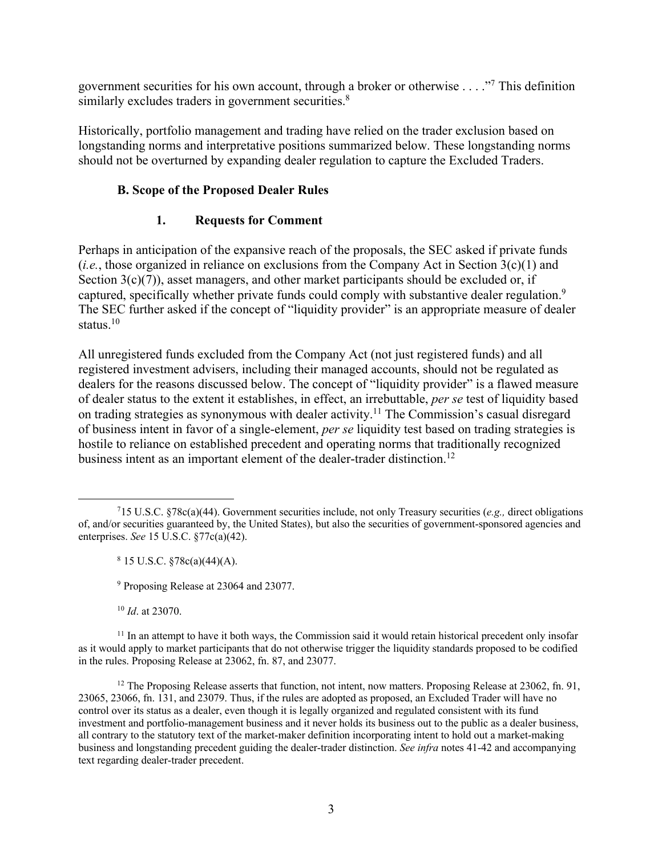government securities for his own account, through a broker or otherwise  $\dots$ ."<sup>7</sup> This definition similarly excludes traders in government securities.<sup>8</sup>

Historically, portfolio management and trading have relied on the trader exclusion based on longstanding norms and interpretative positions summarized below. These longstanding norms should not be overturned by expanding dealer regulation to capture the Excluded Traders.

# **B. Scope of the Proposed Dealer Rules**

# **1. Requests for Comment**

Perhaps in anticipation of the expansive reach of the proposals, the SEC asked if private funds (*i.e.*, those organized in reliance on exclusions from the Company Act in Section 3(c)(1) and Section  $3(c)(7)$ ), asset managers, and other market participants should be excluded or, if captured, specifically whether private funds could comply with substantive dealer regulation.<sup>9</sup> The SEC further asked if the concept of "liquidity provider" is an appropriate measure of dealer status.<sup>10</sup>

All unregistered funds excluded from the Company Act (not just registered funds) and all registered investment advisers, including their managed accounts, should not be regulated as dealers for the reasons discussed below. The concept of "liquidity provider" is a flawed measure of dealer status to the extent it establishes, in effect, an irrebuttable, *per se* test of liquidity based on trading strategies as synonymous with dealer activity. <sup>11</sup> The Commission's casual disregard of business intent in favor of a single-element, *per se* liquidity test based on trading strategies is hostile to reliance on established precedent and operating norms that traditionally recognized business intent as an important element of the dealer-trader distinction.<sup>12</sup>

<sup>10</sup> *Id*. at 23070.

<sup>11</sup> In an attempt to have it both ways, the Commission said it would retain historical precedent only insofar as it would apply to market participants that do not otherwise trigger the liquidity standards proposed to be codified in the rules. Proposing Release at 23062, fn. 87, and 23077.

<sup>12</sup> The Proposing Release asserts that function, not intent, now matters. Proposing Release at 23062, fn. 91, 23065, 23066, fn. 131, and 23079. Thus, if the rules are adopted as proposed, an Excluded Trader will have no control over its status as a dealer, even though it is legally organized and regulated consistent with its fund investment and portfolio-management business and it never holds its business out to the public as a dealer business, all contrary to the statutory text of the market-maker definition incorporating intent to hold out a market-making business and longstanding precedent guiding the dealer-trader distinction. *See infra* notes 41-42 and accompanying text regarding dealer-trader precedent.

<sup>7</sup> 15 U.S.C. §78c(a)(44). Government securities include, not only Treasury securities (*e.g.,* direct obligations of, and/or securities guaranteed by, the United States), but also the securities of government-sponsored agencies and enterprises. *See* 15 U.S.C. §77c(a)(42).

 $8$  15 U.S.C.  $$78c(a)(44)(A)$ .

<sup>9</sup> Proposing Release at 23064 and 23077.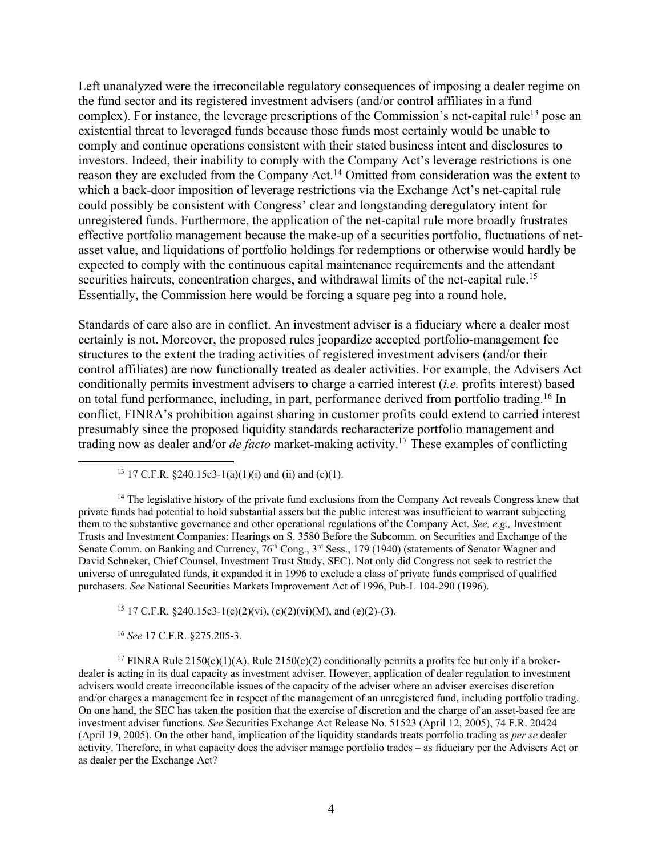Left unanalyzed were the irreconcilable regulatory consequences of imposing a dealer regime on the fund sector and its registered investment advisers (and/or control affiliates in a fund complex). For instance, the leverage prescriptions of the Commission's net-capital rule<sup>13</sup> pose an existential threat to leveraged funds because those funds most certainly would be unable to comply and continue operations consistent with their stated business intent and disclosures to investors. Indeed, their inability to comply with the Company Act's leverage restrictions is one reason they are excluded from the Company Act.<sup>14</sup> Omitted from consideration was the extent to which a back-door imposition of leverage restrictions via the Exchange Act's net-capital rule could possibly be consistent with Congress' clear and longstanding deregulatory intent for unregistered funds. Furthermore, the application of the net-capital rule more broadly frustrates effective portfolio management because the make-up of a securities portfolio, fluctuations of netasset value, and liquidations of portfolio holdings for redemptions or otherwise would hardly be expected to comply with the continuous capital maintenance requirements and the attendant securities haircuts, concentration charges, and withdrawal limits of the net-capital rule.<sup>15</sup> Essentially, the Commission here would be forcing a square peg into a round hole.

Standards of care also are in conflict. An investment adviser is a fiduciary where a dealer most certainly is not. Moreover, the proposed rules jeopardize accepted portfolio-management fee structures to the extent the trading activities of registered investment advisers (and/or their control affiliates) are now functionally treated as dealer activities. For example, the Advisers Act conditionally permits investment advisers to charge a carried interest (*i.e.* profits interest) based on total fund performance, including, in part, performance derived from portfolio trading.<sup>16</sup> In conflict, FINRA's prohibition against sharing in customer profits could extend to carried interest presumably since the proposed liquidity standards recharacterize portfolio management and trading now as dealer and/or *de facto* market-making activity. <sup>17</sup> These examples of conflicting

<sup>13</sup> 17 C.F.R. §240.15c3-1(a)(1)(i) and (ii) and (c)(1).

 $14$  The legislative history of the private fund exclusions from the Company Act reveals Congress knew that private funds had potential to hold substantial assets but the public interest was insufficient to warrant subjecting them to the substantive governance and other operational regulations of the Company Act. *See, e.g.,* Investment Trusts and Investment Companies: Hearings on S. 3580 Before the Subcomm. on Securities and Exchange of the Senate Comm. on Banking and Currency,  $76<sup>th</sup>$  Cong., 3<sup>rd</sup> Sess., 179 (1940) (statements of Senator Wagner and David Schneker, Chief Counsel, Investment Trust Study, SEC). Not only did Congress not seek to restrict the universe of unregulated funds, it expanded it in 1996 to exclude a class of private funds comprised of qualified purchasers. *See* National Securities Markets Improvement Act of 1996, Pub-L 104-290 (1996).

<sup>15</sup> 17 C.F.R. §240.15c3-1(c)(2)(vi), (c)(2)(vi)(M), and (e)(2)-(3).

<sup>16</sup> *See* 17 C.F.R. §275.205-3.

<sup>17</sup> FINRA Rule 2150(c)(1)(A). Rule 2150(c)(2) conditionally permits a profits fee but only if a brokerdealer is acting in its dual capacity as investment adviser. However, application of dealer regulation to investment advisers would create irreconcilable issues of the capacity of the adviser where an adviser exercises discretion and/or charges a management fee in respect of the management of an unregistered fund, including portfolio trading. On one hand, the SEC has taken the position that the exercise of discretion and the charge of an asset-based fee are investment adviser functions. *See* Securities Exchange Act Release No. 51523 (April 12, 2005), 74 F.R. 20424 (April 19, 2005). On the other hand, implication of the liquidity standards treats portfolio trading as *per se* dealer activity. Therefore, in what capacity does the adviser manage portfolio trades – as fiduciary per the Advisers Act or as dealer per the Exchange Act?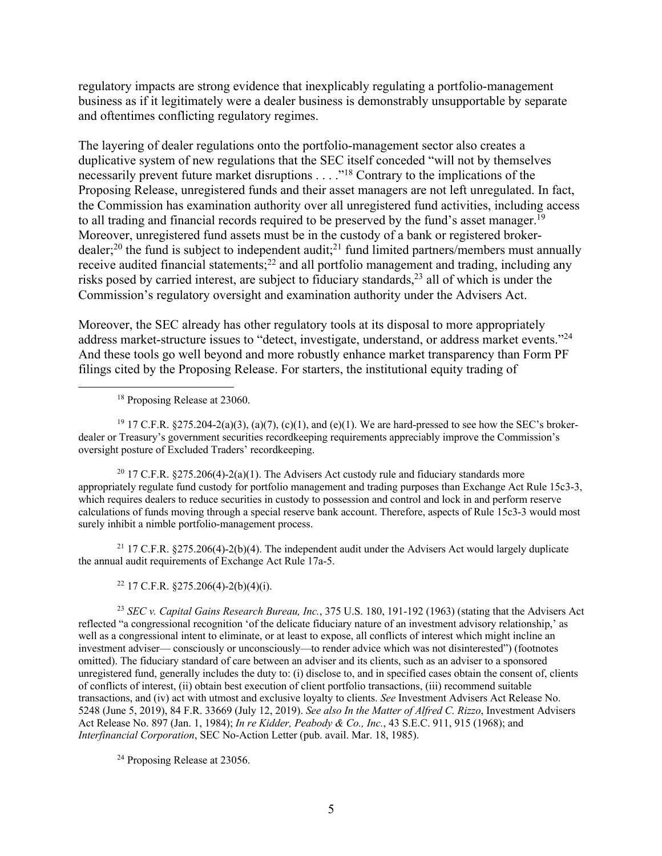regulatory impacts are strong evidence that inexplicably regulating a portfolio-management business as if it legitimately were a dealer business is demonstrably unsupportable by separate and oftentimes conflicting regulatory regimes.

The layering of dealer regulations onto the portfolio-management sector also creates a duplicative system of new regulations that the SEC itself conceded "will not by themselves necessarily prevent future market disruptions . . . ."18 Contrary to the implications of the Proposing Release, unregistered funds and their asset managers are not left unregulated. In fact, the Commission has examination authority over all unregistered fund activities, including access to all trading and financial records required to be preserved by the fund's asset manager.<sup>19</sup> Moreover, unregistered fund assets must be in the custody of a bank or registered brokerdealer;<sup>20</sup> the fund is subject to independent audit;<sup>21</sup> fund limited partners/members must annually receive audited financial statements;<sup>22</sup> and all portfolio management and trading, including any risks posed by carried interest, are subject to fiduciary standards,  $2<sup>3</sup>$  all of which is under the Commission's regulatory oversight and examination authority under the Advisers Act.

Moreover, the SEC already has other regulatory tools at its disposal to more appropriately address market-structure issues to "detect, investigate, understand, or address market events."24 And these tools go well beyond and more robustly enhance market transparency than Form PF filings cited by the Proposing Release. For starters, the institutional equity trading of

<sup>18</sup> Proposing Release at 23060.

<sup>19</sup> 17 C.F.R. §275.204-2(a)(3), (a)(7), (c)(1), and (e)(1). We are hard-pressed to see how the SEC's brokerdealer or Treasury's government securities recordkeeping requirements appreciably improve the Commission's oversight posture of Excluded Traders' recordkeeping.

<sup>20</sup> 17 C.F.R. §275.206(4)-2(a)(1). The Advisers Act custody rule and fiduciary standards more appropriately regulate fund custody for portfolio management and trading purposes than Exchange Act Rule 15c3-3, which requires dealers to reduce securities in custody to possession and control and lock in and perform reserve calculations of funds moving through a special reserve bank account. Therefore, aspects of Rule 15c3-3 would most surely inhibit a nimble portfolio-management process.

<sup>21</sup> 17 C.F.R. §275.206(4)-2(b)(4). The independent audit under the Advisers Act would largely duplicate the annual audit requirements of Exchange Act Rule 17a-5.

<sup>22</sup> 17 C.F.R. §275.206(4)-2(b)(4)(i).

<sup>23</sup> *SEC v. Capital Gains Research Bureau, Inc.*, 375 U.S. 180, 191-192 (1963) (stating that the Advisers Act reflected "a congressional recognition 'of the delicate fiduciary nature of an investment advisory relationship,' as well as a congressional intent to eliminate, or at least to expose, all conflicts of interest which might incline an investment adviser— consciously or unconsciously—to render advice which was not disinterested") (footnotes omitted). The fiduciary standard of care between an adviser and its clients, such as an adviser to a sponsored unregistered fund, generally includes the duty to: (i) disclose to, and in specified cases obtain the consent of, clients of conflicts of interest, (ii) obtain best execution of client portfolio transactions, (iii) recommend suitable transactions, and (iv) act with utmost and exclusive loyalty to clients. *See* Investment Advisers Act Release No. 5248 (June 5, 2019), 84 F.R. 33669 (July 12, 2019). *See also In the Matter of Alfred C. Rizzo*, Investment Advisers Act Release No. 897 (Jan. 1, 1984); *In re Kidder, Peabody & Co., Inc.*, 43 S.E.C. 911, 915 (1968); and *Interfinancial Corporation*, SEC No-Action Letter (pub. avail. Mar. 18, 1985).

<sup>24</sup> Proposing Release at 23056.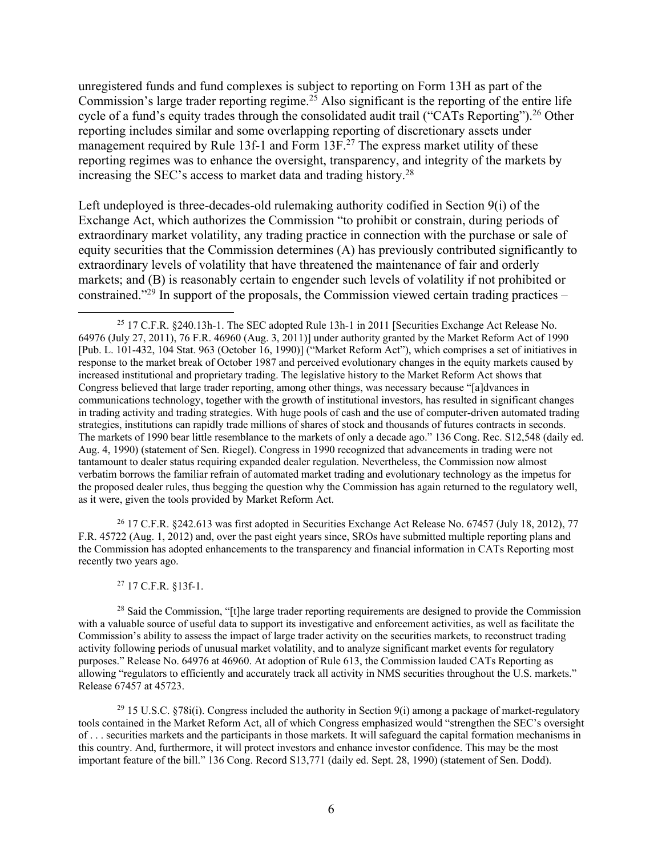unregistered funds and fund complexes is subject to reporting on Form 13H as part of the Commission's large trader reporting regime. <sup>25</sup> Also significant is the reporting of the entire life cycle of a fund's equity trades through the consolidated audit trail ("CATs Reporting").<sup>26</sup> Other reporting includes similar and some overlapping reporting of discretionary assets under management required by Rule 13f-1 and Form 13F.<sup>27</sup> The express market utility of these reporting regimes was to enhance the oversight, transparency, and integrity of the markets by increasing the SEC's access to market data and trading history. 28

Left undeployed is three-decades-old rulemaking authority codified in Section 9(i) of the Exchange Act, which authorizes the Commission "to prohibit or constrain, during periods of extraordinary market volatility, any trading practice in connection with the purchase or sale of equity securities that the Commission determines (A) has previously contributed significantly to extraordinary levels of volatility that have threatened the maintenance of fair and orderly markets; and (B) is reasonably certain to engender such levels of volatility if not prohibited or constrained."29 In support of the proposals, the Commission viewed certain trading practices –

<sup>26</sup> 17 C.F.R. §242.613 was first adopted in Securities Exchange Act Release No. 67457 (July 18, 2012), 77 F.R. 45722 (Aug. 1, 2012) and, over the past eight years since, SROs have submitted multiple reporting plans and the Commission has adopted enhancements to the transparency and financial information in CATs Reporting most recently two years ago.

#### <sup>27</sup> 17 C.F.R. §13f-1.

<sup>28</sup> Said the Commission, "[t]he large trader reporting requirements are designed to provide the Commission with a valuable source of useful data to support its investigative and enforcement activities, as well as facilitate the Commission's ability to assess the impact of large trader activity on the securities markets, to reconstruct trading activity following periods of unusual market volatility, and to analyze significant market events for regulatory purposes." Release No. 64976 at 46960. At adoption of Rule 613, the Commission lauded CATs Reporting as allowing "regulators to efficiently and accurately track all activity in NMS securities throughout the U.S. markets." Release 67457 at 45723.

<sup>29</sup> 15 U.S.C. §78i(i). Congress included the authority in Section 9(i) among a package of market-regulatory tools contained in the Market Reform Act, all of which Congress emphasized would "strengthen the SEC's oversight of . . . securities markets and the participants in those markets. It will safeguard the capital formation mechanisms in this country. And, furthermore, it will protect investors and enhance investor confidence. This may be the most important feature of the bill." 136 Cong. Record S13,771 (daily ed. Sept. 28, 1990) (statement of Sen. Dodd).

<sup>25</sup> 17 C.F.R. §240.13h-1. The SEC adopted Rule 13h-1 in 2011 [Securities Exchange Act Release No. 64976 (July 27, 2011), 76 F.R. 46960 (Aug. 3, 2011)] under authority granted by the Market Reform Act of 1990 [Pub. L. 101-432, 104 Stat. 963 (October 16, 1990)] ("Market Reform Act"), which comprises a set of initiatives in response to the market break of October 1987 and perceived evolutionary changes in the equity markets caused by increased institutional and proprietary trading. The legislative history to the Market Reform Act shows that Congress believed that large trader reporting, among other things, was necessary because "[a]dvances in communications technology, together with the growth of institutional investors, has resulted in significant changes in trading activity and trading strategies. With huge pools of cash and the use of computer-driven automated trading strategies, institutions can rapidly trade millions of shares of stock and thousands of futures contracts in seconds. The markets of 1990 bear little resemblance to the markets of only a decade ago." 136 Cong. Rec. S12,548 (daily ed. Aug. 4, 1990) (statement of Sen. Riegel). Congress in 1990 recognized that advancements in trading were not tantamount to dealer status requiring expanded dealer regulation. Nevertheless, the Commission now almost verbatim borrows the familiar refrain of automated market trading and evolutionary technology as the impetus for the proposed dealer rules, thus begging the question why the Commission has again returned to the regulatory well, as it were, given the tools provided by Market Reform Act.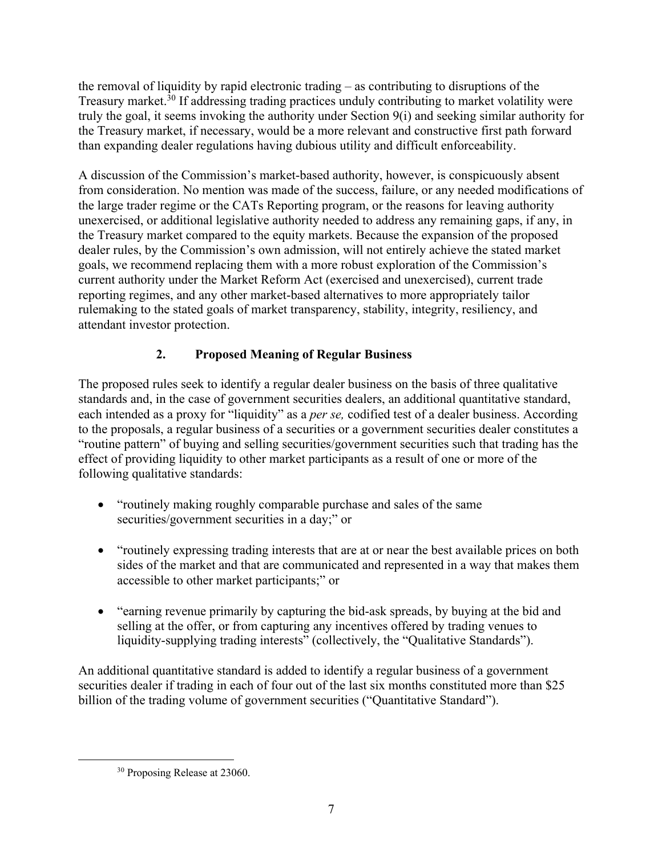the removal of liquidity by rapid electronic trading – as contributing to disruptions of the Treasury market.<sup>30</sup> If addressing trading practices unduly contributing to market volatility were truly the goal, it seems invoking the authority under Section 9(i) and seeking similar authority for the Treasury market, if necessary, would be a more relevant and constructive first path forward than expanding dealer regulations having dubious utility and difficult enforceability.

A discussion of the Commission's market-based authority, however, is conspicuously absent from consideration. No mention was made of the success, failure, or any needed modifications of the large trader regime or the CATs Reporting program, or the reasons for leaving authority unexercised, or additional legislative authority needed to address any remaining gaps, if any, in the Treasury market compared to the equity markets. Because the expansion of the proposed dealer rules, by the Commission's own admission, will not entirely achieve the stated market goals, we recommend replacing them with a more robust exploration of the Commission's current authority under the Market Reform Act (exercised and unexercised), current trade reporting regimes, and any other market-based alternatives to more appropriately tailor rulemaking to the stated goals of market transparency, stability, integrity, resiliency, and attendant investor protection.

# **2. Proposed Meaning of Regular Business**

The proposed rules seek to identify a regular dealer business on the basis of three qualitative standards and, in the case of government securities dealers, an additional quantitative standard, each intended as a proxy for "liquidity" as a *per se,* codified test of a dealer business. According to the proposals, a regular business of a securities or a government securities dealer constitutes a "routine pattern" of buying and selling securities/government securities such that trading has the effect of providing liquidity to other market participants as a result of one or more of the following qualitative standards:

- "routinely making roughly comparable purchase and sales of the same securities/government securities in a day;" or
- "routinely expressing trading interests that are at or near the best available prices on both sides of the market and that are communicated and represented in a way that makes them accessible to other market participants;" or
- "earning revenue primarily by capturing the bid-ask spreads, by buying at the bid and selling at the offer, or from capturing any incentives offered by trading venues to liquidity-supplying trading interests" (collectively, the "Qualitative Standards").

An additional quantitative standard is added to identify a regular business of a government securities dealer if trading in each of four out of the last six months constituted more than \$25 billion of the trading volume of government securities ("Quantitative Standard").

<sup>&</sup>lt;sup>30</sup> Proposing Release at 23060.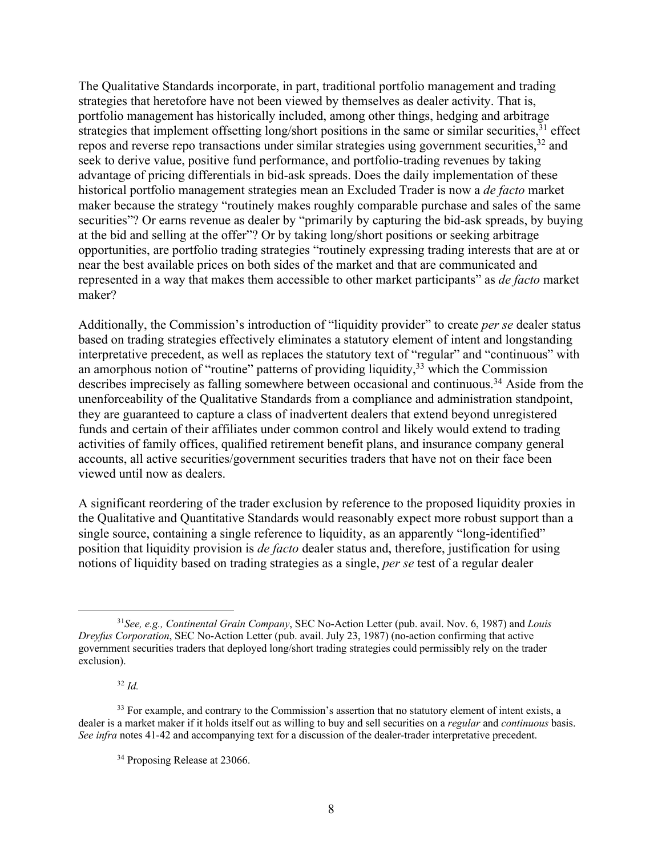The Qualitative Standards incorporate, in part, traditional portfolio management and trading strategies that heretofore have not been viewed by themselves as dealer activity. That is, portfolio management has historically included, among other things, hedging and arbitrage strategies that implement offsetting long/short positions in the same or similar securities,<sup>31</sup> effect repos and reverse repo transactions under similar strategies using government securities,<sup>32</sup> and seek to derive value, positive fund performance, and portfolio-trading revenues by taking advantage of pricing differentials in bid-ask spreads. Does the daily implementation of these historical portfolio management strategies mean an Excluded Trader is now a *de facto* market maker because the strategy "routinely makes roughly comparable purchase and sales of the same securities"? Or earns revenue as dealer by "primarily by capturing the bid-ask spreads, by buying at the bid and selling at the offer"? Or by taking long/short positions or seeking arbitrage opportunities, are portfolio trading strategies "routinely expressing trading interests that are at or near the best available prices on both sides of the market and that are communicated and represented in a way that makes them accessible to other market participants" as *de facto* market maker?

Additionally, the Commission's introduction of "liquidity provider" to create *per se* dealer status based on trading strategies effectively eliminates a statutory element of intent and longstanding interpretative precedent, as well as replaces the statutory text of "regular" and "continuous" with an amorphous notion of "routine" patterns of providing liquidity,  $33$  which the Commission describes imprecisely as falling somewhere between occasional and continuous.<sup>34</sup> Aside from the unenforceability of the Qualitative Standards from a compliance and administration standpoint, they are guaranteed to capture a class of inadvertent dealers that extend beyond unregistered funds and certain of their affiliates under common control and likely would extend to trading activities of family offices, qualified retirement benefit plans, and insurance company general accounts, all active securities/government securities traders that have not on their face been viewed until now as dealers.

A significant reordering of the trader exclusion by reference to the proposed liquidity proxies in the Qualitative and Quantitative Standards would reasonably expect more robust support than a single source, containing a single reference to liquidity, as an apparently "long-identified" position that liquidity provision is *de facto* dealer status and, therefore, justification for using notions of liquidity based on trading strategies as a single, *per se* test of a regular dealer

<sup>32</sup> *Id.*

<sup>31</sup>*See, e.g., Continental Grain Company*, SEC No-Action Letter (pub. avail. Nov. 6, 1987) and *Louis Dreyfus Corporation*, SEC No-Action Letter (pub. avail. July 23, 1987) (no-action confirming that active government securities traders that deployed long/short trading strategies could permissibly rely on the trader exclusion).

<sup>&</sup>lt;sup>33</sup> For example, and contrary to the Commission's assertion that no statutory element of intent exists, a dealer is a market maker if it holds itself out as willing to buy and sell securities on a *regular* and *continuous* basis. *See infra* notes 41-42 and accompanying text for a discussion of the dealer-trader interpretative precedent.

<sup>&</sup>lt;sup>34</sup> Proposing Release at 23066.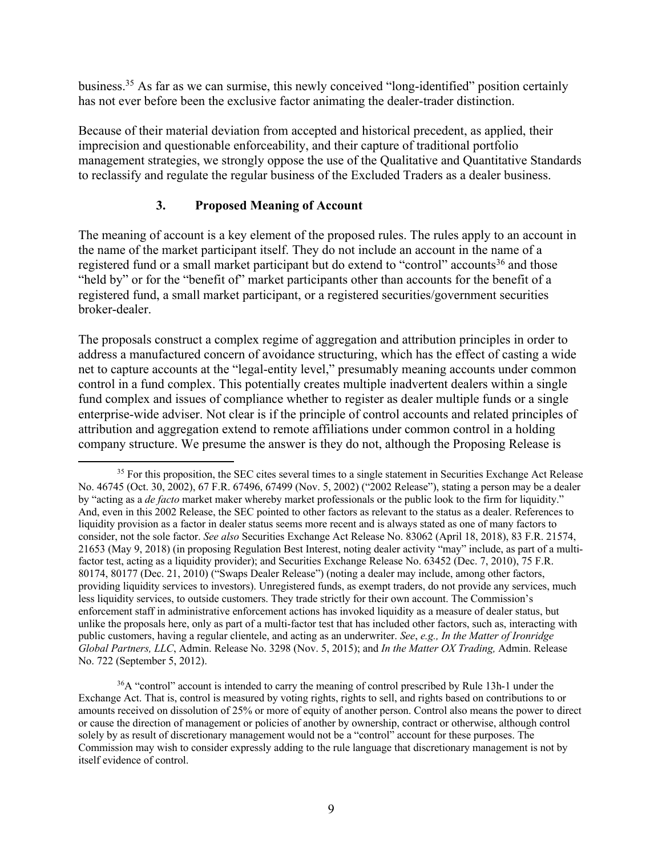business. <sup>35</sup> As far as we can surmise, this newly conceived "long-identified" position certainly has not ever before been the exclusive factor animating the dealer-trader distinction.

Because of their material deviation from accepted and historical precedent, as applied, their imprecision and questionable enforceability, and their capture of traditional portfolio management strategies, we strongly oppose the use of the Qualitative and Quantitative Standards to reclassify and regulate the regular business of the Excluded Traders as a dealer business.

# **3. Proposed Meaning of Account**

The meaning of account is a key element of the proposed rules. The rules apply to an account in the name of the market participant itself. They do not include an account in the name of a registered fund or a small market participant but do extend to "control" accounts<sup>36</sup> and those "held by" or for the "benefit of" market participants other than accounts for the benefit of a registered fund, a small market participant, or a registered securities/government securities broker-dealer.

The proposals construct a complex regime of aggregation and attribution principles in order to address a manufactured concern of avoidance structuring, which has the effect of casting a wide net to capture accounts at the "legal-entity level," presumably meaning accounts under common control in a fund complex. This potentially creates multiple inadvertent dealers within a single fund complex and issues of compliance whether to register as dealer multiple funds or a single enterprise-wide adviser. Not clear is if the principle of control accounts and related principles of attribution and aggregation extend to remote affiliations under common control in a holding company structure. We presume the answer is they do not, although the Proposing Release is

<sup>&</sup>lt;sup>35</sup> For this proposition, the SEC cites several times to a single statement in Securities Exchange Act Release No. 46745 (Oct. 30, 2002), 67 F.R. 67496, 67499 (Nov. 5, 2002) ("2002 Release"), stating a person may be a dealer by "acting as a *de facto* market maker whereby market professionals or the public look to the firm for liquidity." And, even in this 2002 Release, the SEC pointed to other factors as relevant to the status as a dealer. References to liquidity provision as a factor in dealer status seems more recent and is always stated as one of many factors to consider, not the sole factor. *See also* Securities Exchange Act Release No. 83062 (April 18, 2018), 83 F.R. 21574, 21653 (May 9, 2018) (in proposing Regulation Best Interest, noting dealer activity "may" include, as part of a multifactor test, acting as a liquidity provider); and Securities Exchange Release No. 63452 (Dec. 7, 2010), 75 F.R. 80174, 80177 (Dec. 21, 2010) ("Swaps Dealer Release") (noting a dealer may include, among other factors, providing liquidity services to investors). Unregistered funds, as exempt traders, do not provide any services, much less liquidity services, to outside customers. They trade strictly for their own account. The Commission's enforcement staff in administrative enforcement actions has invoked liquidity as a measure of dealer status, but unlike the proposals here, only as part of a multi-factor test that has included other factors, such as, interacting with public customers, having a regular clientele, and acting as an underwriter. *See*, *e.g., In the Matter of Ironridge Global Partners, LLC*, Admin. Release No. 3298 (Nov. 5, 2015); and *In the Matter OX Trading,* Admin. Release No. 722 (September 5, 2012).

<sup>&</sup>lt;sup>36</sup>A "control" account is intended to carry the meaning of control prescribed by Rule 13h-1 under the Exchange Act. That is, control is measured by voting rights, rights to sell, and rights based on contributions to or amounts received on dissolution of 25% or more of equity of another person. Control also means the power to direct or cause the direction of management or policies of another by ownership, contract or otherwise, although control solely by as result of discretionary management would not be a "control" account for these purposes. The Commission may wish to consider expressly adding to the rule language that discretionary management is not by itself evidence of control.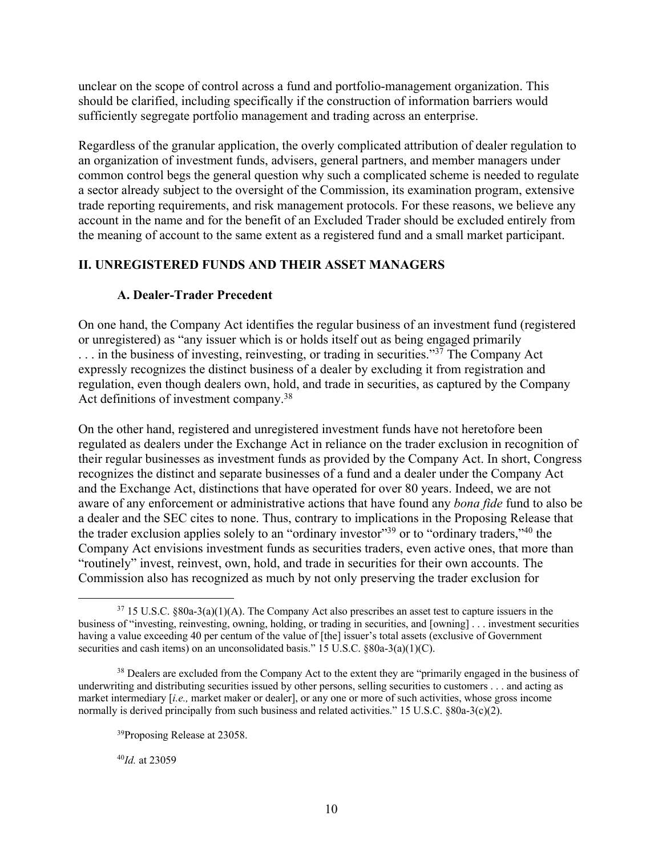unclear on the scope of control across a fund and portfolio-management organization. This should be clarified, including specifically if the construction of information barriers would sufficiently segregate portfolio management and trading across an enterprise.

Regardless of the granular application, the overly complicated attribution of dealer regulation to an organization of investment funds, advisers, general partners, and member managers under common control begs the general question why such a complicated scheme is needed to regulate a sector already subject to the oversight of the Commission, its examination program, extensive trade reporting requirements, and risk management protocols. For these reasons, we believe any account in the name and for the benefit of an Excluded Trader should be excluded entirely from the meaning of account to the same extent as a registered fund and a small market participant.

# **II. UNREGISTERED FUNDS AND THEIR ASSET MANAGERS**

## **A. Dealer-Trader Precedent**

On one hand, the Company Act identifies the regular business of an investment fund (registered or unregistered) as "any issuer which is or holds itself out as being engaged primarily ... in the business of investing, reinvesting, or trading in securities."<sup>37</sup> The Company Act expressly recognizes the distinct business of a dealer by excluding it from registration and regulation, even though dealers own, hold, and trade in securities, as captured by the Company Act definitions of investment company.38

On the other hand, registered and unregistered investment funds have not heretofore been regulated as dealers under the Exchange Act in reliance on the trader exclusion in recognition of their regular businesses as investment funds as provided by the Company Act. In short, Congress recognizes the distinct and separate businesses of a fund and a dealer under the Company Act and the Exchange Act, distinctions that have operated for over 80 years. Indeed, we are not aware of any enforcement or administrative actions that have found any *bona fide* fund to also be a dealer and the SEC cites to none. Thus, contrary to implications in the Proposing Release that the trader exclusion applies solely to an "ordinary investor"39 or to "ordinary traders,"40 the Company Act envisions investment funds as securities traders, even active ones, that more than "routinely" invest, reinvest, own, hold, and trade in securities for their own accounts. The Commission also has recognized as much by not only preserving the trader exclusion for

<sup>40</sup>*Id.* at 23059

 $37\,15$  U.S.C.  $\&80a-3(a)(1)(A)$ . The Company Act also prescribes an asset test to capture issuers in the business of "investing, reinvesting, owning, holding, or trading in securities, and [owning] . . . investment securities having a value exceeding 40 per centum of the value of [the] issuer's total assets (exclusive of Government securities and cash items) on an unconsolidated basis." 15 U.S.C. §80a-3(a)(1)(C).

<sup>&</sup>lt;sup>38</sup> Dealers are excluded from the Company Act to the extent they are "primarily engaged in the business of underwriting and distributing securities issued by other persons, selling securities to customers . . . and acting as market intermediary [*i.e.,* market maker or dealer], or any one or more of such activities, whose gross income normally is derived principally from such business and related activities." 15 U.S.C. §80a-3(c)(2).

<sup>39</sup>Proposing Release at 23058.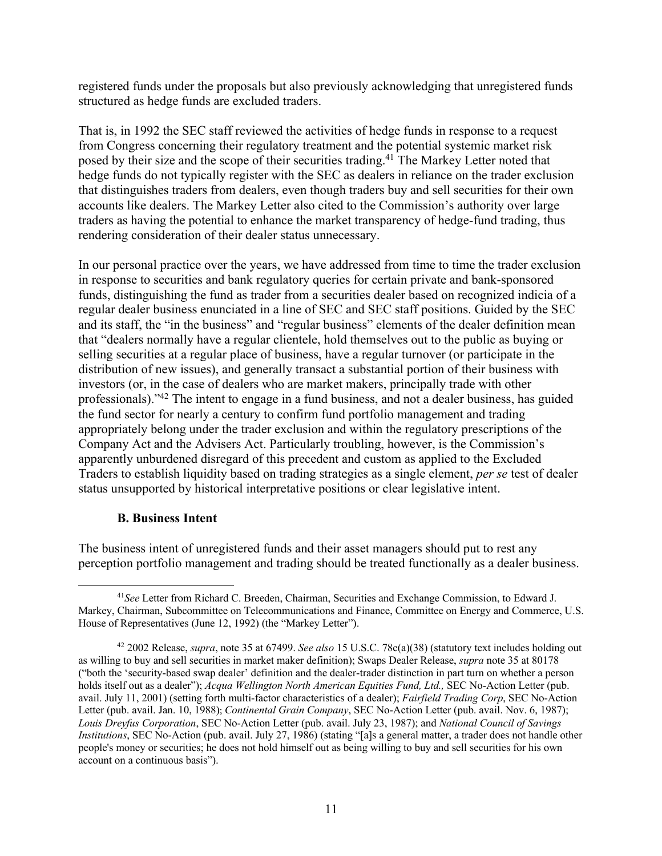registered funds under the proposals but also previously acknowledging that unregistered funds structured as hedge funds are excluded traders.

That is, in 1992 the SEC staff reviewed the activities of hedge funds in response to a request from Congress concerning their regulatory treatment and the potential systemic market risk posed by their size and the scope of their securities trading.<sup>41</sup> The Markey Letter noted that hedge funds do not typically register with the SEC as dealers in reliance on the trader exclusion that distinguishes traders from dealers, even though traders buy and sell securities for their own accounts like dealers. The Markey Letter also cited to the Commission's authority over large traders as having the potential to enhance the market transparency of hedge-fund trading, thus rendering consideration of their dealer status unnecessary.

In our personal practice over the years, we have addressed from time to time the trader exclusion in response to securities and bank regulatory queries for certain private and bank-sponsored funds, distinguishing the fund as trader from a securities dealer based on recognized indicia of a regular dealer business enunciated in a line of SEC and SEC staff positions. Guided by the SEC and its staff, the "in the business" and "regular business" elements of the dealer definition mean that "dealers normally have a regular clientele, hold themselves out to the public as buying or selling securities at a regular place of business, have a regular turnover (or participate in the distribution of new issues), and generally transact a substantial portion of their business with investors (or, in the case of dealers who are market makers, principally trade with other professionals)."42 The intent to engage in a fund business, and not a dealer business, has guided the fund sector for nearly a century to confirm fund portfolio management and trading appropriately belong under the trader exclusion and within the regulatory prescriptions of the Company Act and the Advisers Act. Particularly troubling, however, is the Commission's apparently unburdened disregard of this precedent and custom as applied to the Excluded Traders to establish liquidity based on trading strategies as a single element, *per se* test of dealer status unsupported by historical interpretative positions or clear legislative intent.

## **B. Business Intent**

The business intent of unregistered funds and their asset managers should put to rest any perception portfolio management and trading should be treated functionally as a dealer business.

<sup>41</sup>*See* Letter from Richard C. Breeden, Chairman, Securities and Exchange Commission, to Edward J. Markey, Chairman, Subcommittee on Telecommunications and Finance, Committee on Energy and Commerce, U.S. House of Representatives (June 12, 1992) (the "Markey Letter").

<sup>42</sup> 2002 Release, *supra*, note 35 at 67499. *See also* 15 U.S.C. 78c(a)(38) (statutory text includes holding out as willing to buy and sell securities in market maker definition); Swaps Dealer Release, *supra* note 35 at 80178 ("both the 'security-based swap dealer' definition and the dealer-trader distinction in part turn on whether a person holds itself out as a dealer"); *Acqua Wellington North American Equities Fund, Ltd.*, **SEC No-Action Letter** (pub. avail. July 11, 2001) (setting forth multi-factor characteristics of a dealer); *Fairfield Trading Corp*, SEC No-Action Letter (pub. avail. Jan. 10, 1988); *Continental Grain Company*, SEC No-Action Letter (pub. avail. Nov. 6, 1987); *Louis Dreyfus Corporation*, SEC No-Action Letter (pub. avail. July 23, 1987); and *National Council of Savings Institutions*, SEC No-Action (pub. avail. July 27, 1986) (stating "[a]s a general matter, a trader does not handle other people's money or securities; he does not hold himself out as being willing to buy and sell securities for his own account on a continuous basis").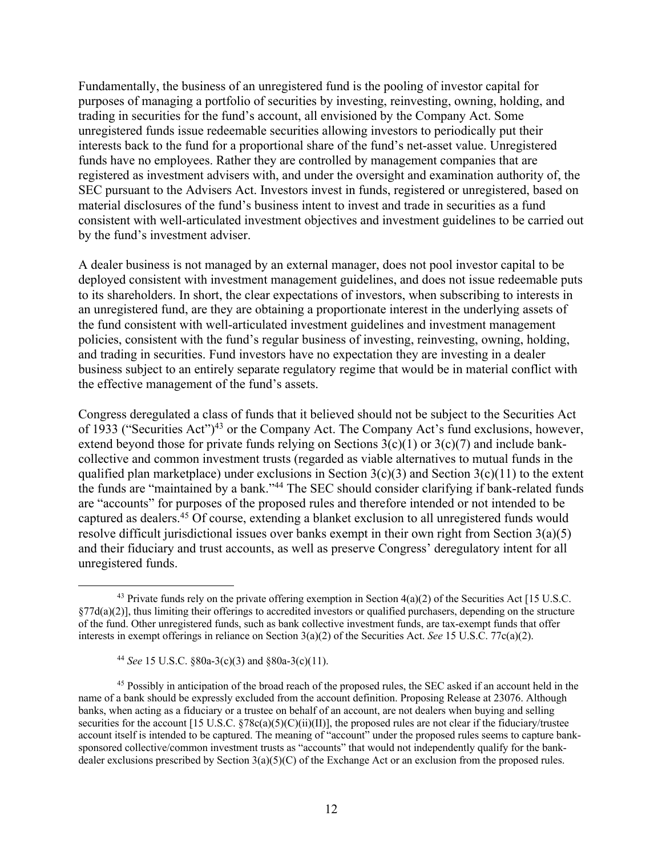Fundamentally, the business of an unregistered fund is the pooling of investor capital for purposes of managing a portfolio of securities by investing, reinvesting, owning, holding, and trading in securities for the fund's account, all envisioned by the Company Act. Some unregistered funds issue redeemable securities allowing investors to periodically put their interests back to the fund for a proportional share of the fund's net-asset value. Unregistered funds have no employees. Rather they are controlled by management companies that are registered as investment advisers with, and under the oversight and examination authority of, the SEC pursuant to the Advisers Act. Investors invest in funds, registered or unregistered, based on material disclosures of the fund's business intent to invest and trade in securities as a fund consistent with well-articulated investment objectives and investment guidelines to be carried out by the fund's investment adviser.

A dealer business is not managed by an external manager, does not pool investor capital to be deployed consistent with investment management guidelines, and does not issue redeemable puts to its shareholders. In short, the clear expectations of investors, when subscribing to interests in an unregistered fund, are they are obtaining a proportionate interest in the underlying assets of the fund consistent with well-articulated investment guidelines and investment management policies, consistent with the fund's regular business of investing, reinvesting, owning, holding, and trading in securities. Fund investors have no expectation they are investing in a dealer business subject to an entirely separate regulatory regime that would be in material conflict with the effective management of the fund's assets.

Congress deregulated a class of funds that it believed should not be subject to the Securities Act of 1933 ("Securities Act")<sup>43</sup> or the Company Act. The Company Act's fund exclusions, however, extend beyond those for private funds relying on Sections  $3(c)(1)$  or  $3(c)(7)$  and include bankcollective and common investment trusts (regarded as viable alternatives to mutual funds in the qualified plan marketplace) under exclusions in Section 3(c)(3) and Section 3(c)(11) to the extent the funds are "maintained by a bank."44 The SEC should consider clarifying if bank-related funds are "accounts" for purposes of the proposed rules and therefore intended or not intended to be captured as dealers.45 Of course, extending a blanket exclusion to all unregistered funds would resolve difficult jurisdictional issues over banks exempt in their own right from Section 3(a)(5) and their fiduciary and trust accounts, as well as preserve Congress' deregulatory intent for all unregistered funds.

<sup>&</sup>lt;sup>43</sup> Private funds rely on the private offering exemption in Section  $4(a)(2)$  of the Securities Act [15 U.S.C.  $\frac{\zeta}{27d(a)(2)}$ , thus limiting their offerings to accredited investors or qualified purchasers, depending on the structure of the fund. Other unregistered funds, such as bank collective investment funds, are tax-exempt funds that offer interests in exempt offerings in reliance on Section 3(a)(2) of the Securities Act. *See* 15 U.S.C. 77c(a)(2).

<sup>44</sup> *See* 15 U.S.C. §80a-3(c)(3) and §80a-3(c)(11).

<sup>&</sup>lt;sup>45</sup> Possibly in anticipation of the broad reach of the proposed rules, the SEC asked if an account held in the name of a bank should be expressly excluded from the account definition. Proposing Release at 23076. Although banks, when acting as a fiduciary or a trustee on behalf of an account, are not dealers when buying and selling securities for the account [15 U.S.C.  $\frac{878c(a)(5)(C)(ii)(II)}{I}$ , the proposed rules are not clear if the fiduciary/trustee account itself is intended to be captured. The meaning of "account" under the proposed rules seems to capture banksponsored collective/common investment trusts as "accounts" that would not independently qualify for the bankdealer exclusions prescribed by Section  $3(a)(5)(C)$  of the Exchange Act or an exclusion from the proposed rules.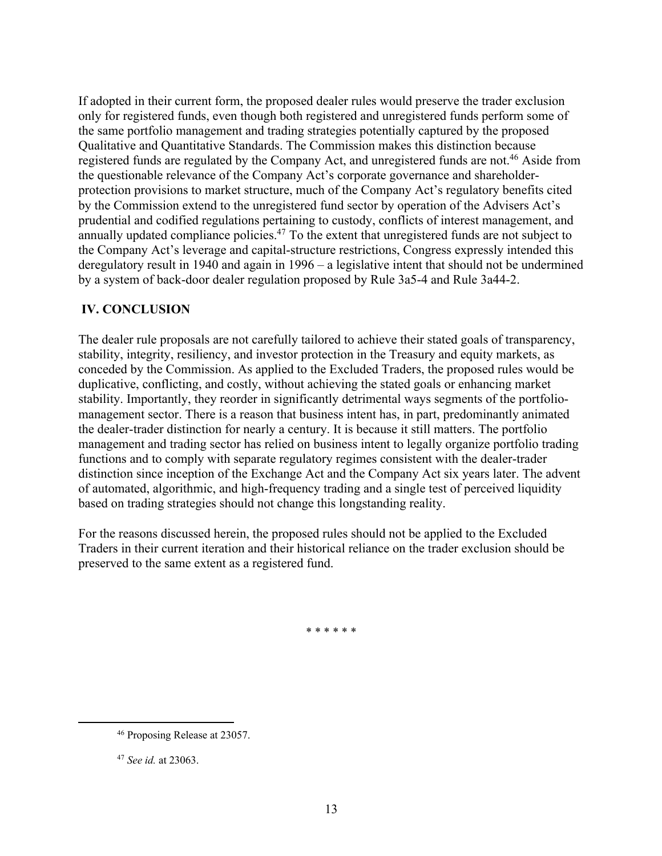If adopted in their current form, the proposed dealer rules would preserve the trader exclusion only for registered funds, even though both registered and unregistered funds perform some of the same portfolio management and trading strategies potentially captured by the proposed Qualitative and Quantitative Standards. The Commission makes this distinction because registered funds are regulated by the Company Act, and unregistered funds are not.<sup>46</sup> Aside from the questionable relevance of the Company Act's corporate governance and shareholderprotection provisions to market structure, much of the Company Act's regulatory benefits cited by the Commission extend to the unregistered fund sector by operation of the Advisers Act's prudential and codified regulations pertaining to custody, conflicts of interest management, and annually updated compliance policies.<sup>47</sup> To the extent that unregistered funds are not subject to the Company Act's leverage and capital-structure restrictions, Congress expressly intended this deregulatory result in 1940 and again in 1996 – a legislative intent that should not be undermined by a system of back-door dealer regulation proposed by Rule 3a5-4 and Rule 3a44-2.

# **IV. CONCLUSION**

The dealer rule proposals are not carefully tailored to achieve their stated goals of transparency, stability, integrity, resiliency, and investor protection in the Treasury and equity markets, as conceded by the Commission. As applied to the Excluded Traders, the proposed rules would be duplicative, conflicting, and costly, without achieving the stated goals or enhancing market stability. Importantly, they reorder in significantly detrimental ways segments of the portfoliomanagement sector. There is a reason that business intent has, in part, predominantly animated the dealer-trader distinction for nearly a century. It is because it still matters. The portfolio management and trading sector has relied on business intent to legally organize portfolio trading functions and to comply with separate regulatory regimes consistent with the dealer-trader distinction since inception of the Exchange Act and the Company Act six years later. The advent of automated, algorithmic, and high-frequency trading and a single test of perceived liquidity based on trading strategies should not change this longstanding reality.

For the reasons discussed herein, the proposed rules should not be applied to the Excluded Traders in their current iteration and their historical reliance on the trader exclusion should be preserved to the same extent as a registered fund.

\* \* \* \* \* \*

<sup>46</sup> Proposing Release at 23057.

<sup>47</sup> *See id.* at 23063.